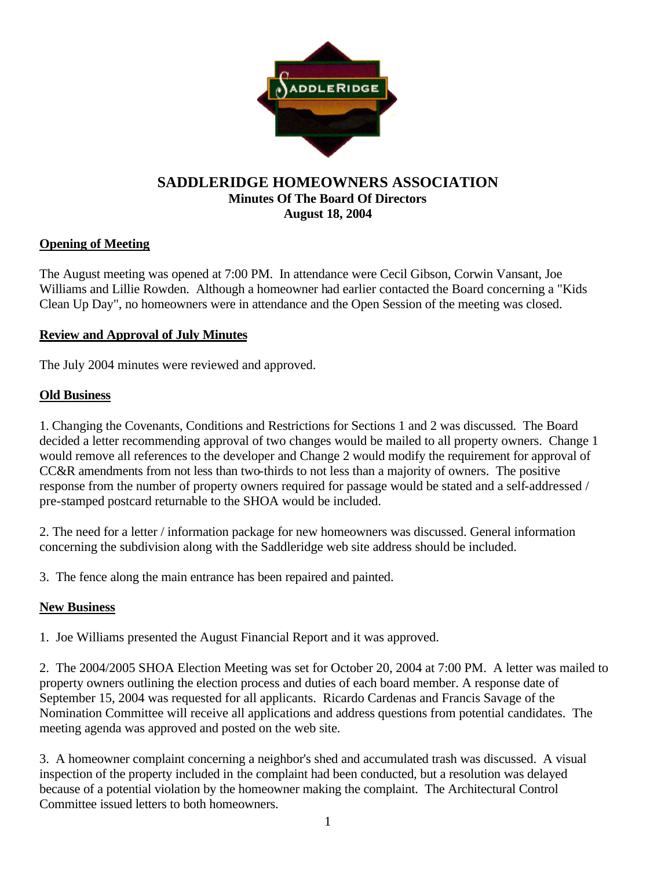

#### **SADDLERIDGE HOMEOWNERS ASSOCIATION Minutes Of The Board Of Directors August 18, 2004**

## **Opening of Meeting**

The August meeting was opened at 7:00 PM. In attendance were Cecil Gibson, Corwin Vansant, Joe Williams and Lillie Rowden. Although a homeowner had earlier contacted the Board concerning a "Kids Clean Up Day", no homeowners were in attendance and the Open Session of the meeting was closed.

### **Review and Approval of July Minutes**

The July 2004 minutes were reviewed and approved.

### **Old Business**

1. Changing the Covenants, Conditions and Restrictions for Sections 1 and 2 was discussed. The Board decided a letter recommending approval of two changes would be mailed to all property owners. Change 1 would remove all references to the developer and Change 2 would modify the requirement for approval of CC&R amendments from not less than two-thirds to not less than a majority of owners. The positive response from the number of property owners required for passage would be stated and a self-addressed / pre-stamped postcard returnable to the SHOA would be included.

2. The need for a letter / information package for new homeowners was discussed. General information concerning the subdivision along with the Saddleridge web site address should be included.

3. The fence along the main entrance has been repaired and painted.

### **New Business**

1. Joe Williams presented the August Financial Report and it was approved.

2. The 2004/2005 SHOA Election Meeting was set for October 20, 2004 at 7:00 PM. A letter was mailed to property owners outlining the election process and duties of each board member. A response date of September 15, 2004 was requested for all applicants. Ricardo Cardenas and Francis Savage of the Nomination Committee will receive all applications and address questions from potential candidates. The meeting agenda was approved and posted on the web site.

3. A homeowner complaint concerning a neighbor's shed and accumulated trash was discussed. A visual inspection of the property included in the complaint had been conducted, but a resolution was delayed because of a potential violation by the homeowner making the complaint. The Architectural Control Committee issued letters to both homeowners.